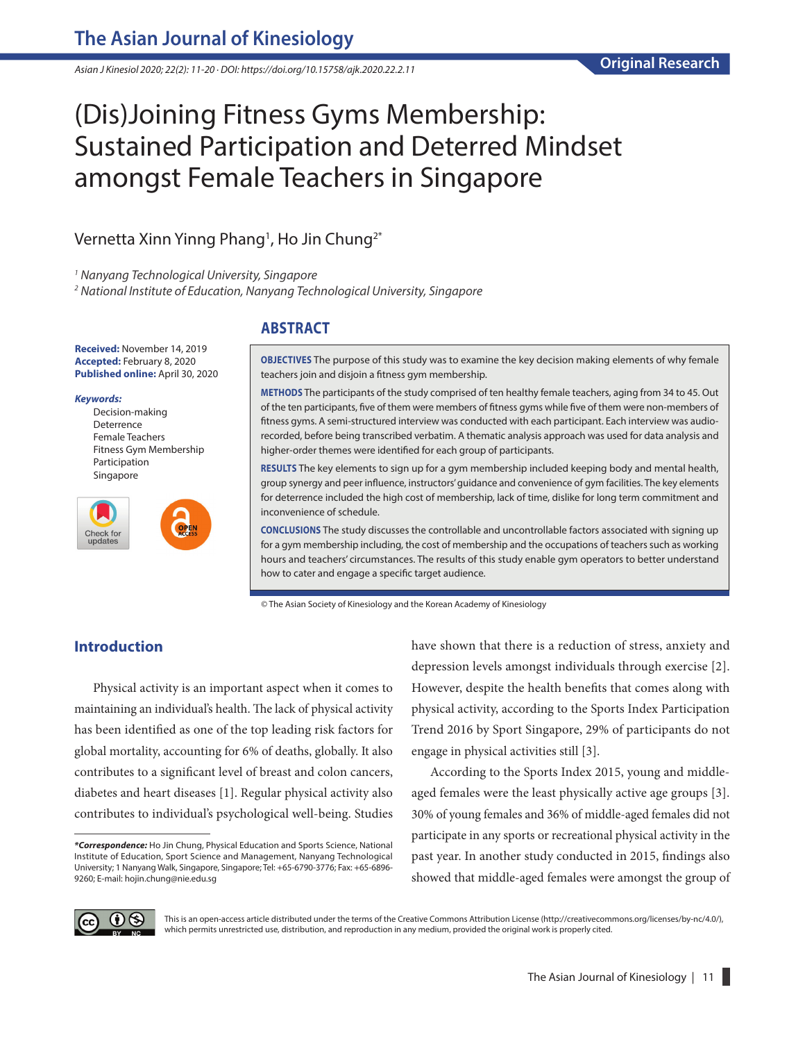*Asian J Kinesiol 2020; 22(2): 11-20 · DOI: https://doi.org/10.15758/ajk.2020.22.2.11*

# (Dis)Joining Fitness Gyms Membership: Sustained Participation and Deterred Mindset amongst Female Teachers in Singapore

## Vernetta Xinn Yinng Phang<sup>1</sup>, Ho Jin Chung $^{2^{\ast}}$

*1 Nanyang Technological University, Singapore*

*2 National Institute of Education, Nanyang Technological University, Singapore*

**Received:** November 14, 2019 **Accepted:** February 8, 2020 **Published online:** April 30, 2020

#### *Keywords:*

Decision-making Deterrence Female Teachers Fitness Gym Membership Participation Singapore



## **ABSTRACT**

**OBJECTIVES** The purpose of this study was to examine the key decision making elements of why female teachers join and disjoin a fitness gym membership.

**METHODS** The participants of the study comprised of ten healthy female teachers, aging from 34 to 45. Out of the ten participants, five of them were members of fitness gyms while five of them were non-members of fitness gyms. A semi-structured interview was conducted with each participant. Each interview was audiorecorded, before being transcribed verbatim. A thematic analysis approach was used for data analysis and higher-order themes were identified for each group of participants.

**RESULTS** The key elements to sign up for a gym membership included keeping body and mental health, group synergy and peer influence, instructors' guidance and convenience of gym facilities. The key elements for deterrence included the high cost of membership, lack of time, dislike for long term commitment and inconvenience of schedule.

**CONCLUSIONS** The study discusses the controllable and uncontrollable factors associated with signing up for a gym membership including, the cost of membership and the occupations of teachers such as working hours and teachers' circumstances. The results of this study enable gym operators to better understand how to cater and engage a specific target audience.

© The Asian Society of Kinesiology and the Korean Academy of Kinesiology

## **Introduction**

Physical activity is an important aspect when it comes to maintaining an individual's health. The lack of physical activity has been identified as one of the top leading risk factors for global mortality, accounting for 6% of deaths, globally. It also contributes to a significant level of breast and colon cancers, diabetes and heart diseases [1]. Regular physical activity also contributes to individual's psychological well-being. Studies have shown that there is a reduction of stress, anxiety and depression levels amongst individuals through exercise [2]. However, despite the health benefits that comes along with physical activity, according to the Sports Index Participation Trend 2016 by Sport Singapore, 29% of participants do not engage in physical activities still [3].

According to the Sports Index 2015, young and middleaged females were the least physically active age groups [3]. 30% of young females and 36% of middle-aged females did not participate in any sports or recreational physical activity in the past year. In another study conducted in 2015, findings also showed that middle-aged females were amongst the group of



This is an open-access article distributed under the terms of the Creative Commons Attribution License (http://creativecommons.org/licenses/by-nc/4.0/), which permits unrestricted use, distribution, and reproduction in any medium, provided the original work is properly cited.

*<sup>\*</sup>Correspondence:* Ho Jin Chung, Physical Education and Sports Science, National Institute of Education, Sport Science and Management, Nanyang Technological University; 1 Nanyang Walk, Singapore, Singapore; Tel: +65-6790-3776; Fax: +65-6896- 9260; E-mail: hojin.chung@nie.edu.sg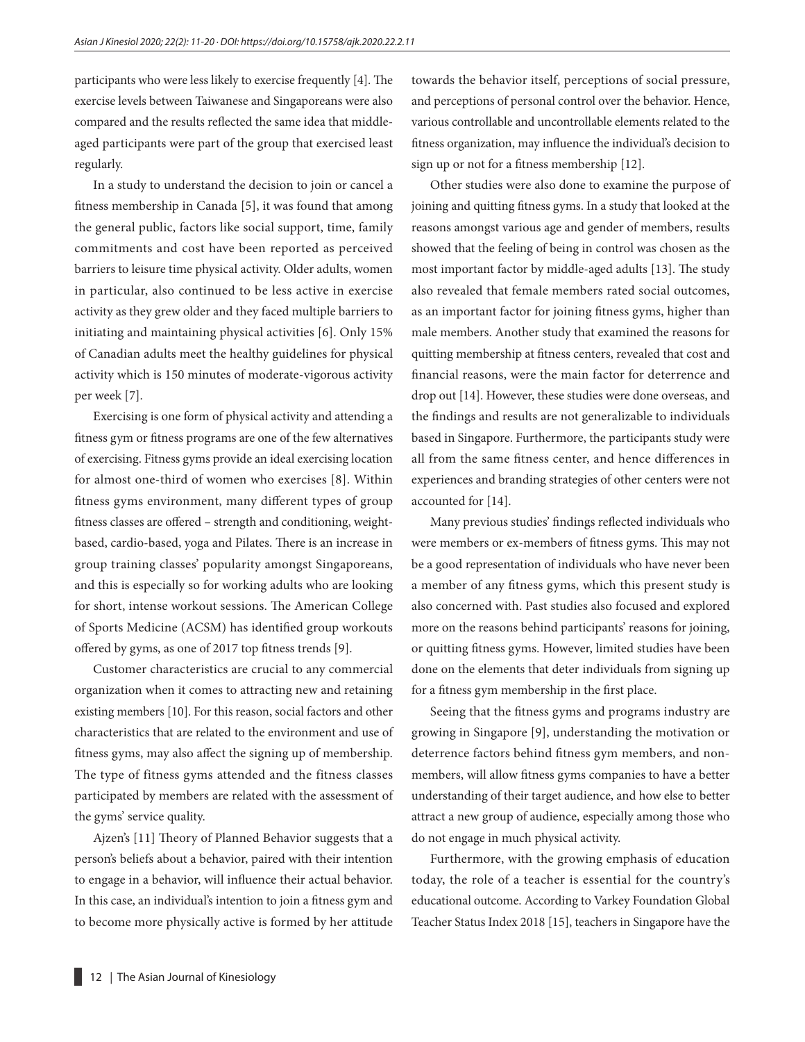participants who were less likely to exercise frequently [4]. The exercise levels between Taiwanese and Singaporeans were also compared and the results reflected the same idea that middleaged participants were part of the group that exercised least regularly.

In a study to understand the decision to join or cancel a fitness membership in Canada [5], it was found that among the general public, factors like social support, time, family commitments and cost have been reported as perceived barriers to leisure time physical activity. Older adults, women in particular, also continued to be less active in exercise activity as they grew older and they faced multiple barriers to initiating and maintaining physical activities [6]. Only 15% of Canadian adults meet the healthy guidelines for physical activity which is 150 minutes of moderate-vigorous activity per week [7].

Exercising is one form of physical activity and attending a fitness gym or fitness programs are one of the few alternatives of exercising. Fitness gyms provide an ideal exercising location for almost one-third of women who exercises [8]. Within fitness gyms environment, many different types of group fitness classes are offered – strength and conditioning, weightbased, cardio-based, yoga and Pilates. There is an increase in group training classes' popularity amongst Singaporeans, and this is especially so for working adults who are looking for short, intense workout sessions. The American College of Sports Medicine (ACSM) has identified group workouts offered by gyms, as one of 2017 top fitness trends [9].

Customer characteristics are crucial to any commercial organization when it comes to attracting new and retaining existing members [10]. For this reason, social factors and other characteristics that are related to the environment and use of fitness gyms, may also affect the signing up of membership. The type of fitness gyms attended and the fitness classes participated by members are related with the assessment of the gyms' service quality.

Ajzen's [11] Theory of Planned Behavior suggests that a person's beliefs about a behavior, paired with their intention to engage in a behavior, will influence their actual behavior. In this case, an individual's intention to join a fitness gym and to become more physically active is formed by her attitude towards the behavior itself, perceptions of social pressure, and perceptions of personal control over the behavior. Hence, various controllable and uncontrollable elements related to the fitness organization, may influence the individual's decision to sign up or not for a fitness membership [12].

Other studies were also done to examine the purpose of joining and quitting fitness gyms. In a study that looked at the reasons amongst various age and gender of members, results showed that the feeling of being in control was chosen as the most important factor by middle-aged adults [13]. The study also revealed that female members rated social outcomes, as an important factor for joining fitness gyms, higher than male members. Another study that examined the reasons for quitting membership at fitness centers, revealed that cost and financial reasons, were the main factor for deterrence and drop out [14]. However, these studies were done overseas, and the findings and results are not generalizable to individuals based in Singapore. Furthermore, the participants study were all from the same fitness center, and hence differences in experiences and branding strategies of other centers were not accounted for [14].

Many previous studies' findings reflected individuals who were members or ex-members of fitness gyms. This may not be a good representation of individuals who have never been a member of any fitness gyms, which this present study is also concerned with. Past studies also focused and explored more on the reasons behind participants' reasons for joining, or quitting fitness gyms. However, limited studies have been done on the elements that deter individuals from signing up for a fitness gym membership in the first place.

Seeing that the fitness gyms and programs industry are growing in Singapore [9], understanding the motivation or deterrence factors behind fitness gym members, and nonmembers, will allow fitness gyms companies to have a better understanding of their target audience, and how else to better attract a new group of audience, especially among those who do not engage in much physical activity.

Furthermore, with the growing emphasis of education today, the role of a teacher is essential for the country's educational outcome. According to Varkey Foundation Global Teacher Status Index 2018 [15], teachers in Singapore have the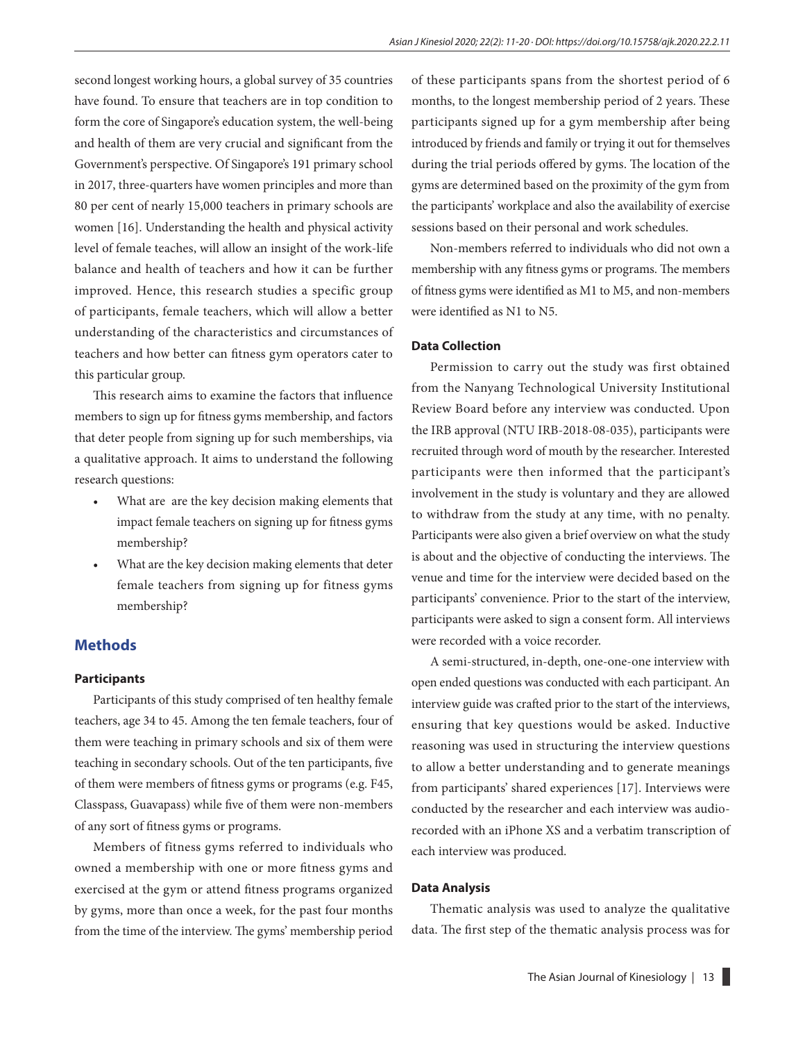second longest working hours, a global survey of 35 countries have found. To ensure that teachers are in top condition to form the core of Singapore's education system, the well-being and health of them are very crucial and significant from the Government's perspective. Of Singapore's 191 primary school in 2017, three-quarters have women principles and more than 80 per cent of nearly 15,000 teachers in primary schools are women [16]. Understanding the health and physical activity level of female teaches, will allow an insight of the work-life balance and health of teachers and how it can be further improved. Hence, this research studies a specific group of participants, female teachers, which will allow a better understanding of the characteristics and circumstances of teachers and how better can fitness gym operators cater to this particular group.

This research aims to examine the factors that influence members to sign up for fitness gyms membership, and factors that deter people from signing up for such memberships, via a qualitative approach. It aims to understand the following research questions:

- What are are the key decision making elements that impact female teachers on signing up for fitness gyms membership?
- What are the key decision making elements that deter female teachers from signing up for fitness gyms membership?

## **Methods**

#### **Participants**

Participants of this study comprised of ten healthy female teachers, age 34 to 45. Among the ten female teachers, four of them were teaching in primary schools and six of them were teaching in secondary schools. Out of the ten participants, five of them were members of fitness gyms or programs (e.g. F45, Classpass, Guavapass) while five of them were non-members of any sort of fitness gyms or programs.

Members of fitness gyms referred to individuals who owned a membership with one or more fitness gyms and exercised at the gym or attend fitness programs organized by gyms, more than once a week, for the past four months from the time of the interview. The gyms' membership period of these participants spans from the shortest period of 6 months, to the longest membership period of 2 years. These participants signed up for a gym membership after being introduced by friends and family or trying it out for themselves during the trial periods offered by gyms. The location of the gyms are determined based on the proximity of the gym from the participants' workplace and also the availability of exercise sessions based on their personal and work schedules.

Non-members referred to individuals who did not own a membership with any fitness gyms or programs. The members of fitness gyms were identified as M1 to M5, and non-members were identified as N1 to N5.

#### **Data Collection**

Permission to carry out the study was first obtained from the Nanyang Technological University Institutional Review Board before any interview was conducted. Upon the IRB approval (NTU IRB-2018-08-035), participants were recruited through word of mouth by the researcher. Interested participants were then informed that the participant's involvement in the study is voluntary and they are allowed to withdraw from the study at any time, with no penalty. Participants were also given a brief overview on what the study is about and the objective of conducting the interviews. The venue and time for the interview were decided based on the participants' convenience. Prior to the start of the interview, participants were asked to sign a consent form. All interviews were recorded with a voice recorder.

A semi-structured, in-depth, one-one-one interview with open ended questions was conducted with each participant. An interview guide was crafted prior to the start of the interviews, ensuring that key questions would be asked. Inductive reasoning was used in structuring the interview questions to allow a better understanding and to generate meanings from participants' shared experiences [17]. Interviews were conducted by the researcher and each interview was audiorecorded with an iPhone XS and a verbatim transcription of each interview was produced.

#### **Data Analysis**

Thematic analysis was used to analyze the qualitative data. The first step of the thematic analysis process was for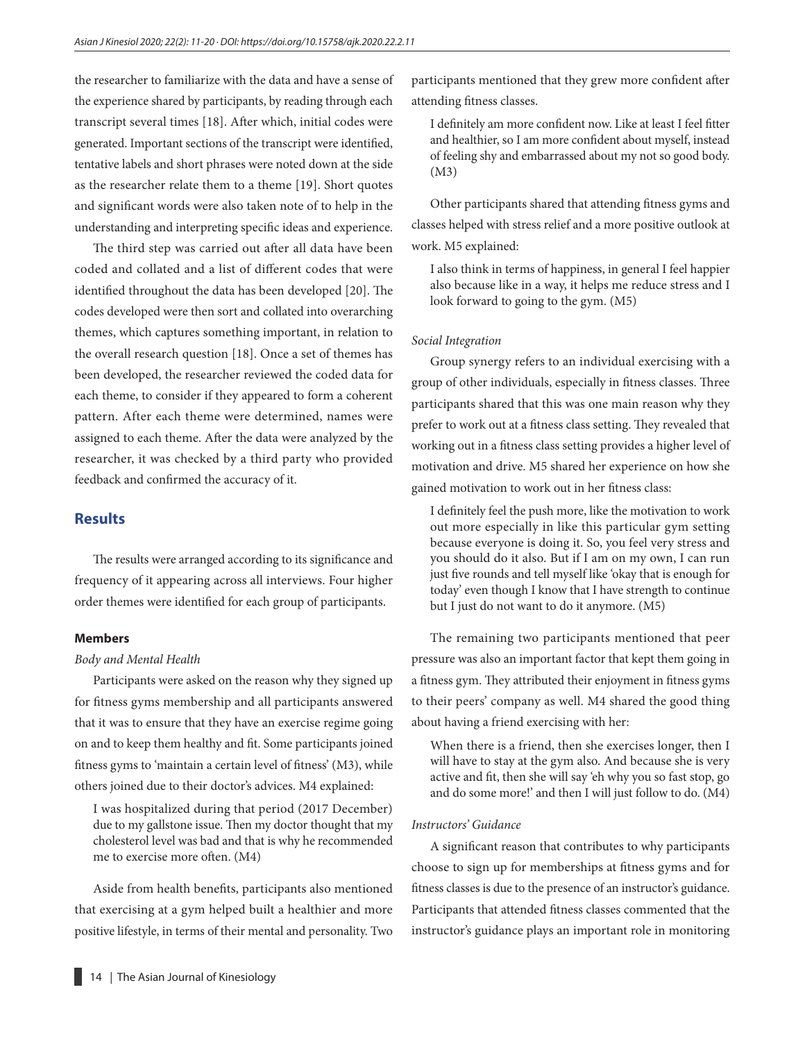the researcher to familiarize with the data and have a sense of the experience shared by participants, by reading through each transcript several times [18]. After which, initial codes were generated. Important sections of the transcript were identified, tentative labels and short phrases were noted down at the side as the researcher relate them to a theme [19]. Short quotes and significant words were also taken note of to help in the understanding and interpreting specific ideas and experience.

The third step was carried out after all data have been coded and collated and a list of different codes that were identified throughout the data has been developed [20]. The codes developed were then sort and collated into overarching themes, which captures something important, in relation to the overall research question [18]. Once a set of themes has been developed, the researcher reviewed the coded data for each theme, to consider if they appeared to form a coherent pattern. After each theme were determined, names were assigned to each theme. After the data were analyzed by the researcher, it was checked by a third party who provided feedback and confirmed the accuracy of it.

## **Results**

The results were arranged according to its significance and frequency of it appearing across all interviews. Four higher order themes were identified for each group of participants.

#### **Members**

#### *Body and Mental Health*

Participants were asked on the reason why they signed up for fitness gyms membership and all participants answered that it was to ensure that they have an exercise regime going on and to keep them healthy and fit. Some participants joined fitness gyms to 'maintain a certain level of fitness' (M3), while others joined due to their doctor's advices. M4 explained:

I was hospitalized during that period (2017 December) due to my gallstone issue. Then my doctor thought that my cholesterol level was bad and that is why he recommended me to exercise more often. (M4)

Aside from health benefits, participants also mentioned that exercising at a gym helped built a healthier and more positive lifestyle, in terms of their mental and personality. Two participants mentioned that they grew more confident after attending fitness classes.

I definitely am more confident now. Like at least I feel fitter and healthier, so I am more confident about myself, instead of feeling shy and embarrassed about my not so good body. (M3)

Other participants shared that attending fitness gyms and classes helped with stress relief and a more positive outlook at work. M5 explained:

I also think in terms of happiness, in general I feel happier also because like in a way, it helps me reduce stress and I look forward to going to the gym. (M5)

#### *Social Integration*

Group synergy refers to an individual exercising with a group of other individuals, especially in fitness classes. Three participants shared that this was one main reason why they prefer to work out at a fitness class setting. They revealed that working out in a fitness class setting provides a higher level of motivation and drive. M5 shared her experience on how she gained motivation to work out in her fitness class:

I definitely feel the push more, like the motivation to work out more especially in like this particular gym setting because everyone is doing it. So, you feel very stress and you should do it also. But if I am on my own, I can run just five rounds and tell myself like 'okay that is enough for today' even though I know that I have strength to continue but I just do not want to do it anymore. (M5)

The remaining two participants mentioned that peer pressure was also an important factor that kept them going in a fitness gym. They attributed their enjoyment in fitness gyms to their peers' company as well. M4 shared the good thing about having a friend exercising with her:

When there is a friend, then she exercises longer, then I will have to stay at the gym also. And because she is very active and fit, then she will say 'eh why you so fast stop, go and do some more!' and then I will just follow to do. (M4)

#### *Instructors' Guidance*

A significant reason that contributes to why participants choose to sign up for memberships at fitness gyms and for fitness classes is due to the presence of an instructor's guidance. Participants that attended fitness classes commented that the instructor's guidance plays an important role in monitoring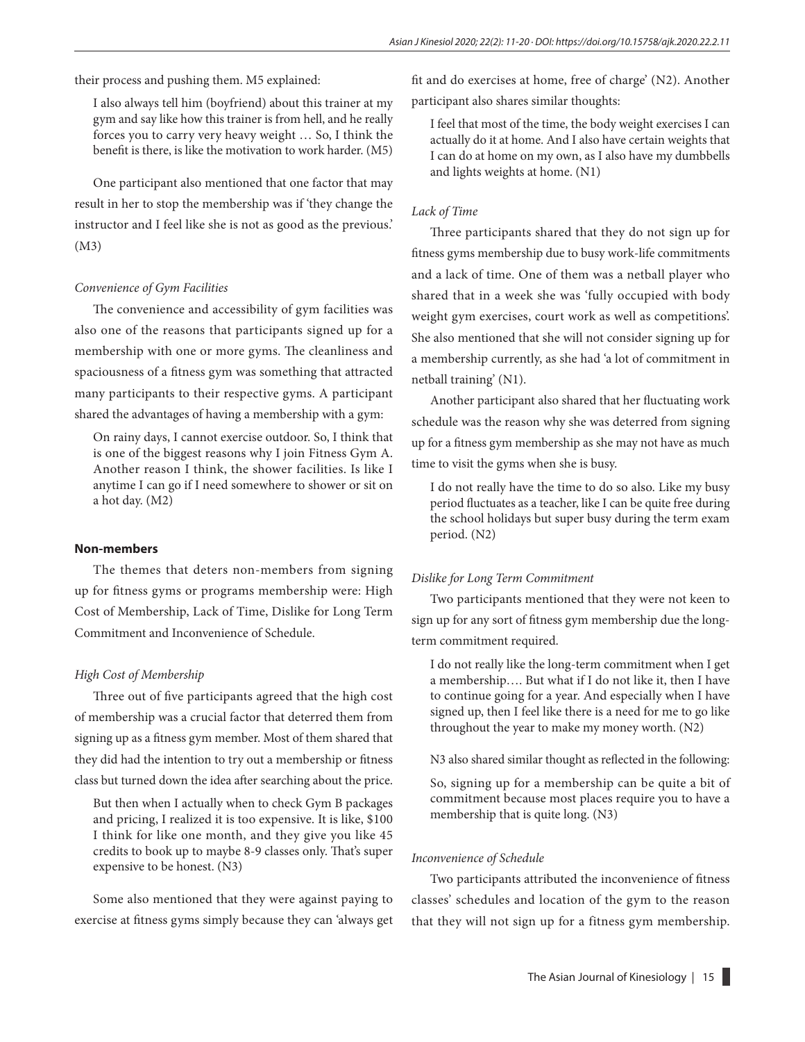their process and pushing them. M5 explained:

I also always tell him (boyfriend) about this trainer at my gym and say like how this trainer is from hell, and he really forces you to carry very heavy weight … So, I think the benefit is there, is like the motivation to work harder. (M5)

One participant also mentioned that one factor that may result in her to stop the membership was if 'they change the instructor and I feel like she is not as good as the previous.' (M3)

#### *Convenience of Gym Facilities*

The convenience and accessibility of gym facilities was also one of the reasons that participants signed up for a membership with one or more gyms. The cleanliness and spaciousness of a fitness gym was something that attracted many participants to their respective gyms. A participant shared the advantages of having a membership with a gym:

On rainy days, I cannot exercise outdoor. So, I think that is one of the biggest reasons why I join Fitness Gym A. Another reason I think, the shower facilities. Is like I anytime I can go if I need somewhere to shower or sit on a hot day. (M2)

#### **Non-members**

The themes that deters non-members from signing up for fitness gyms or programs membership were: High Cost of Membership, Lack of Time, Dislike for Long Term Commitment and Inconvenience of Schedule.

#### *High Cost of Membership*

Three out of five participants agreed that the high cost of membership was a crucial factor that deterred them from signing up as a fitness gym member. Most of them shared that they did had the intention to try out a membership or fitness class but turned down the idea after searching about the price.

But then when I actually when to check Gym B packages and pricing, I realized it is too expensive. It is like, \$100 I think for like one month, and they give you like 45 credits to book up to maybe 8-9 classes only. That's super expensive to be honest. (N3)

Some also mentioned that they were against paying to exercise at fitness gyms simply because they can 'always get fit and do exercises at home, free of charge' (N2). Another participant also shares similar thoughts:

I feel that most of the time, the body weight exercises I can actually do it at home. And I also have certain weights that I can do at home on my own, as I also have my dumbbells and lights weights at home. (N1)

#### *Lack of Time*

Three participants shared that they do not sign up for fitness gyms membership due to busy work-life commitments and a lack of time. One of them was a netball player who shared that in a week she was 'fully occupied with body weight gym exercises, court work as well as competitions'. She also mentioned that she will not consider signing up for a membership currently, as she had 'a lot of commitment in netball training' (N1).

Another participant also shared that her fluctuating work schedule was the reason why she was deterred from signing up for a fitness gym membership as she may not have as much time to visit the gyms when she is busy.

I do not really have the time to do so also. Like my busy period fluctuates as a teacher, like I can be quite free during the school holidays but super busy during the term exam period. (N2)

#### *Dislike for Long Term Commitment*

Two participants mentioned that they were not keen to sign up for any sort of fitness gym membership due the longterm commitment required.

I do not really like the long-term commitment when I get a membership…. But what if I do not like it, then I have to continue going for a year. And especially when I have signed up, then I feel like there is a need for me to go like throughout the year to make my money worth. (N2)

N3 also shared similar thought as reflected in the following:

So, signing up for a membership can be quite a bit of commitment because most places require you to have a membership that is quite long. (N3)

#### *Inconvenience of Schedule*

Two participants attributed the inconvenience of fitness classes' schedules and location of the gym to the reason that they will not sign up for a fitness gym membership.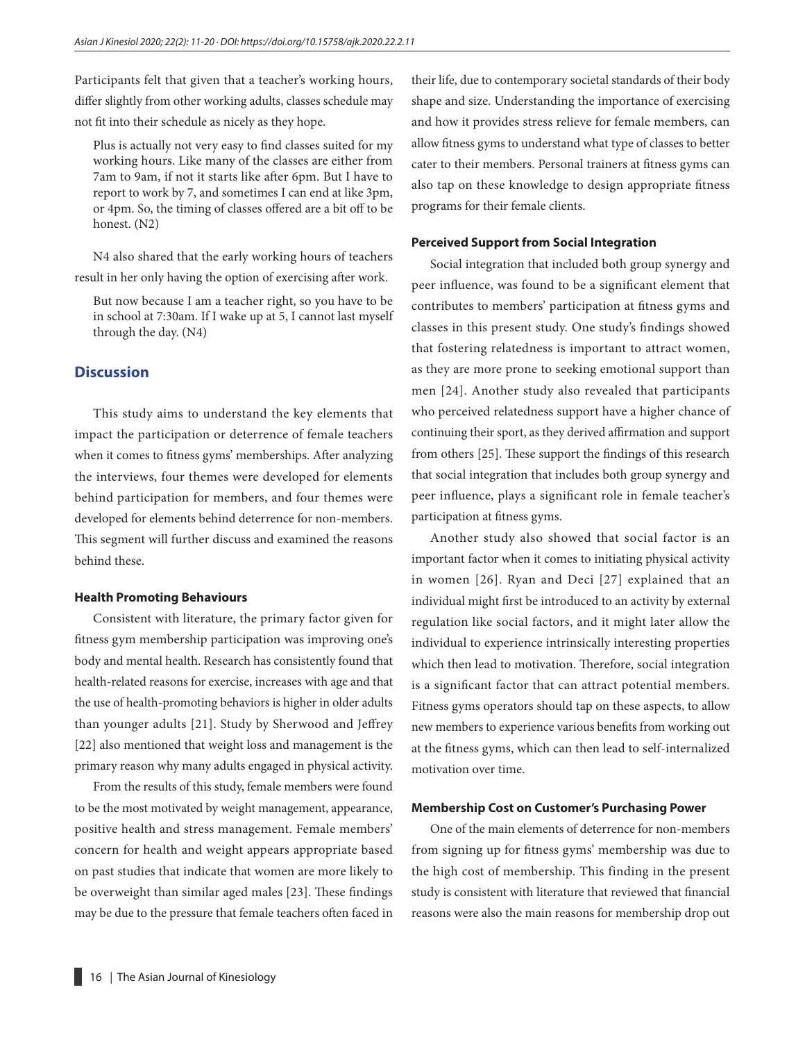Participants felt that given that a teacher's working hours, differ slightly from other working adults, classes schedule may not fit into their schedule as nicely as they hope.

Plus is actually not very easy to find classes suited for my working hours. Like many of the classes are either from 7am to 9am, if not it starts like after 6pm. But I have to report to work by 7, and sometimes I can end at like 3pm, or 4pm. So, the timing of classes offered are a bit off to be honest. (N2)

N4 also shared that the early working hours of teachers result in her only having the option of exercising after work.

But now because I am a teacher right, so you have to be in school at 7:30am. If I wake up at 5, I cannot last myself through the day. (N4)

### **Discussion**

This study aims to understand the key elements that impact the participation or deterrence of female teachers when it comes to fitness gyms' memberships. After analyzing the interviews, four themes were developed for elements behind participation for members, and four themes were developed for elements behind deterrence for non-members. This segment will further discuss and examined the reasons behind these.

#### **Health Promoting Behaviours**

Consistent with literature, the primary factor given for fitness gym membership participation was improving one's body and mental health. Research has consistently found that health-related reasons for exercise, increases with age and that the use of health-promoting behaviors is higher in older adults than younger adults [21]. Study by Sherwood and Jeffrey [22] also mentioned that weight loss and management is the primary reason why many adults engaged in physical activity.

From the results of this study, female members were found to be the most motivated by weight management, appearance, positive health and stress management. Female members' concern for health and weight appears appropriate based on past studies that indicate that women are more likely to be overweight than similar aged males [23]. These findings may be due to the pressure that female teachers often faced in

their life, due to contemporary societal standards of their body shape and size. Understanding the importance of exercising and how it provides stress relieve for female members, can allow fitness gyms to understand what type of classes to better cater to their members. Personal trainers at fitness gyms can also tap on these knowledge to design appropriate fitness programs for their female clients.

#### **Perceived Support from Social Integration**

Social integration that included both group synergy and peer influence, was found to be a significant element that contributes to members' participation at fitness gyms and classes in this present study. One study's findings showed that fostering relatedness is important to attract women, as they are more prone to seeking emotional support than men [24]. Another study also revealed that participants who perceived relatedness support have a higher chance of continuing their sport, as they derived affirmation and support from others [25]. These support the findings of this research that social integration that includes both group synergy and peer influence, plays a significant role in female teacher's participation at fitness gyms.

Another study also showed that social factor is an important factor when it comes to initiating physical activity in women [26]. Ryan and Deci [27] explained that an individual might first be introduced to an activity by external regulation like social factors, and it might later allow the individual to experience intrinsically interesting properties which then lead to motivation. Therefore, social integration is a significant factor that can attract potential members. Fitness gyms operators should tap on these aspects, to allow new members to experience various benefits from working out at the fitness gyms, which can then lead to self-internalized motivation over time.

#### **Membership Cost on Customer's Purchasing Power**

One of the main elements of deterrence for non-members from signing up for fitness gyms' membership was due to the high cost of membership. This finding in the present study is consistent with literature that reviewed that financial reasons were also the main reasons for membership drop out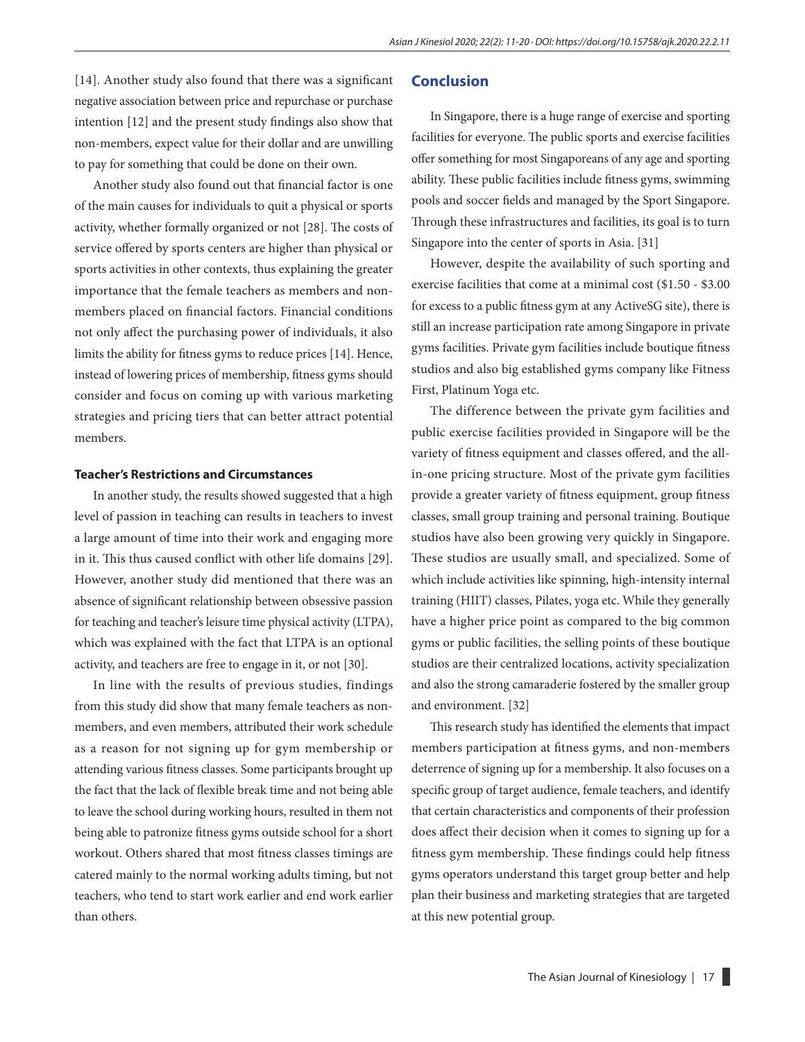[14]. Another study also found that there was a significant negative association between price and repurchase or purchase intention [12] and the present study findings also show that non-members, expect value for their dollar and are unwilling to pay for something that could be done on their own.

Another study also found out that financial factor is one of the main causes for individuals to quit a physical or sports activity, whether formally organized or not [28]. The costs of service offered by sports centers are higher than physical or sports activities in other contexts, thus explaining the greater importance that the female teachers as members and nonmembers placed on financial factors. Financial conditions not only affect the purchasing power of individuals, it also limits the ability for fitness gyms to reduce prices [14]. Hence, instead of lowering prices of membership, fitness gyms should consider and focus on coming up with various marketing strategies and pricing tiers that can better attract potential members.

#### **Teacher's Restrictions and Circumstances**

In another study, the results showed suggested that a high level of passion in teaching can results in teachers to invest a large amount of time into their work and engaging more in it. This thus caused conflict with other life domains [29]. However, another study did mentioned that there was an absence of significant relationship between obsessive passion for teaching and teacher's leisure time physical activity (LTPA), which was explained with the fact that LTPA is an optional activity, and teachers are free to engage in it, or not [30].

In line with the results of previous studies, findings from this study did show that many female teachers as nonmembers, and even members, attributed their work schedule as a reason for not signing up for gym membership or attending various fitness classes. Some participants brought up the fact that the lack of flexible break time and not being able to leave the school during working hours, resulted in them not being able to patronize fitness gyms outside school for a short workout. Others shared that most fitness classes timings are catered mainly to the normal working adults timing, but not teachers, who tend to start work earlier and end work earlier than others.

## **Conclusion**

In Singapore, there is a huge range of exercise and sporting facilities for everyone. The public sports and exercise facilities offer something for most Singaporeans of any age and sporting ability. These public facilities include fitness gyms, swimming pools and soccer fields and managed by the Sport Singapore. Through these infrastructures and facilities, its goal is to turn Singapore into the center of sports in Asia. [31]

However, despite the availability of such sporting and exercise facilities that come at a minimal cost (\$1.50 - \$3.00 for excess to a public fitness gym at any ActiveSG site), there is still an increase participation rate among Singapore in private gyms facilities. Private gym facilities include boutique fitness studios and also big established gyms company like Fitness First, Platinum Yoga etc.

The difference between the private gym facilities and public exercise facilities provided in Singapore will be the variety of fitness equipment and classes offered, and the allin-one pricing structure. Most of the private gym facilities provide a greater variety of fitness equipment, group fitness classes, small group training and personal training. Boutique studios have also been growing very quickly in Singapore. These studios are usually small, and specialized. Some of which include activities like spinning, high-intensity internal training (HIIT) classes, Pilates, yoga etc. While they generally have a higher price point as compared to the big common gyms or public facilities, the selling points of these boutique studios are their centralized locations, activity specialization and also the strong camaraderie fostered by the smaller group and environment. [32]

This research study has identified the elements that impact members participation at fitness gyms, and non-members deterrence of signing up for a membership. It also focuses on a specific group of target audience, female teachers, and identify that certain characteristics and components of their profession does affect their decision when it comes to signing up for a fitness gym membership. These findings could help fitness gyms operators understand this target group better and help plan their business and marketing strategies that are targeted at this new potential group.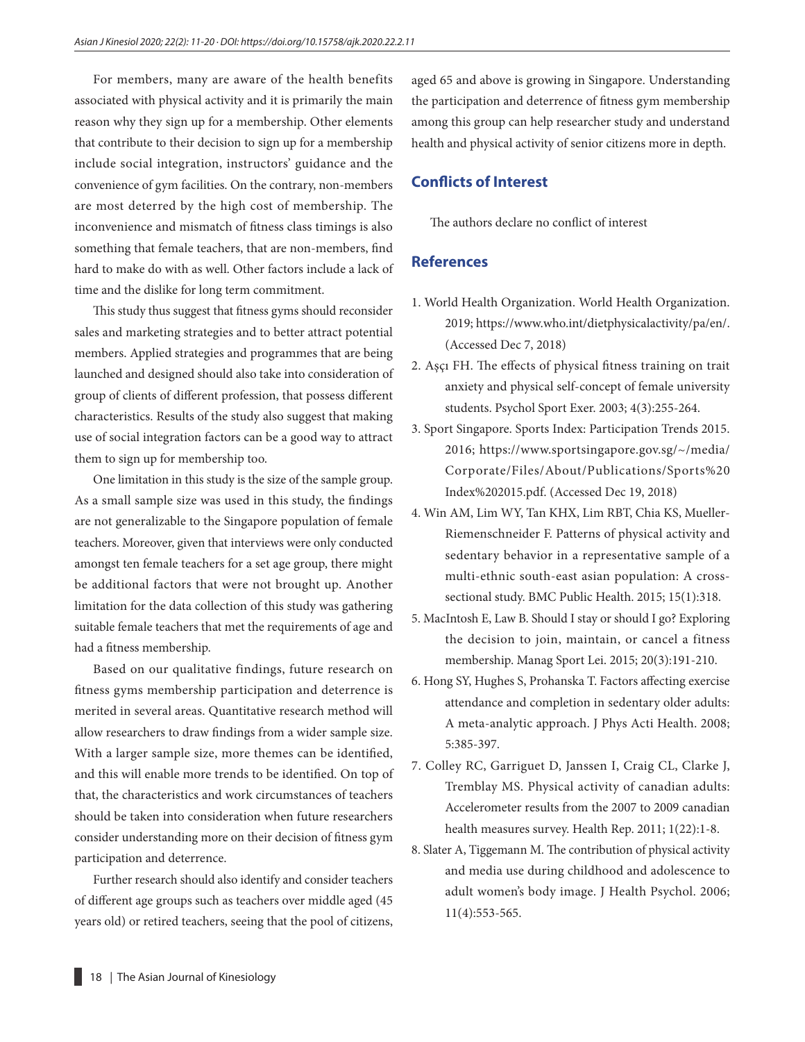For members, many are aware of the health benefits associated with physical activity and it is primarily the main reason why they sign up for a membership. Other elements that contribute to their decision to sign up for a membership include social integration, instructors' guidance and the convenience of gym facilities. On the contrary, non-members are most deterred by the high cost of membership. The inconvenience and mismatch of fitness class timings is also something that female teachers, that are non-members, find hard to make do with as well. Other factors include a lack of time and the dislike for long term commitment.

This study thus suggest that fitness gyms should reconsider sales and marketing strategies and to better attract potential members. Applied strategies and programmes that are being launched and designed should also take into consideration of group of clients of different profession, that possess different characteristics. Results of the study also suggest that making use of social integration factors can be a good way to attract them to sign up for membership too.

One limitation in this study is the size of the sample group. As a small sample size was used in this study, the findings are not generalizable to the Singapore population of female teachers. Moreover, given that interviews were only conducted amongst ten female teachers for a set age group, there might be additional factors that were not brought up. Another limitation for the data collection of this study was gathering suitable female teachers that met the requirements of age and had a fitness membership.

Based on our qualitative findings, future research on fitness gyms membership participation and deterrence is merited in several areas. Quantitative research method will allow researchers to draw findings from a wider sample size. With a larger sample size, more themes can be identified, and this will enable more trends to be identified. On top of that, the characteristics and work circumstances of teachers should be taken into consideration when future researchers consider understanding more on their decision of fitness gym participation and deterrence.

Further research should also identify and consider teachers of different age groups such as teachers over middle aged (45 years old) or retired teachers, seeing that the pool of citizens, aged 65 and above is growing in Singapore. Understanding the participation and deterrence of fitness gym membership among this group can help researcher study and understand health and physical activity of senior citizens more in depth.

## **Conflicts of Interest**

The authors declare no conflict of interest

## **References**

- 1. World Health Organization. World Health Organization. 2019; https://www.who.int/dietphysicalactivity/pa/en/. (Accessed Dec 7, 2018)
- 2. Aşçı FH. The effects of physical fitness training on trait anxiety and physical self-concept of female university students. Psychol Sport Exer. 2003; 4(3):255-264.
- 3. Sport Singapore. Sports Index: Participation Trends 2015. 2016; https://www.sportsingapore.gov.sg/~/media/ Corporate/Files/About/Publications/Sports%20 Index%202015.pdf. (Accessed Dec 19, 2018)
- 4. Win AM, Lim WY, Tan KHX, Lim RBT, Chia KS, Mueller-Riemenschneider F. Patterns of physical activity and sedentary behavior in a representative sample of a multi-ethnic south-east asian population: A crosssectional study. BMC Public Health. 2015; 15(1):318.
- 5. MacIntosh E, Law B. Should I stay or should I go? Exploring the decision to join, maintain, or cancel a fitness membership. Manag Sport Lei. 2015; 20(3):191-210.
- 6. Hong SY, Hughes S, Prohanska T. Factors affecting exercise attendance and completion in sedentary older adults: A meta-analytic approach. J Phys Acti Health. 2008; 5:385-397.
- 7. Colley RC, Garriguet D, Janssen I, Craig CL, Clarke J, Tremblay MS. Physical activity of canadian adults: Accelerometer results from the 2007 to 2009 canadian health measures survey. Health Rep. 2011; 1(22):1-8.
- 8. Slater A, Tiggemann M. The contribution of physical activity and media use during childhood and adolescence to adult women's body image. J Health Psychol. 2006; 11(4):553-565.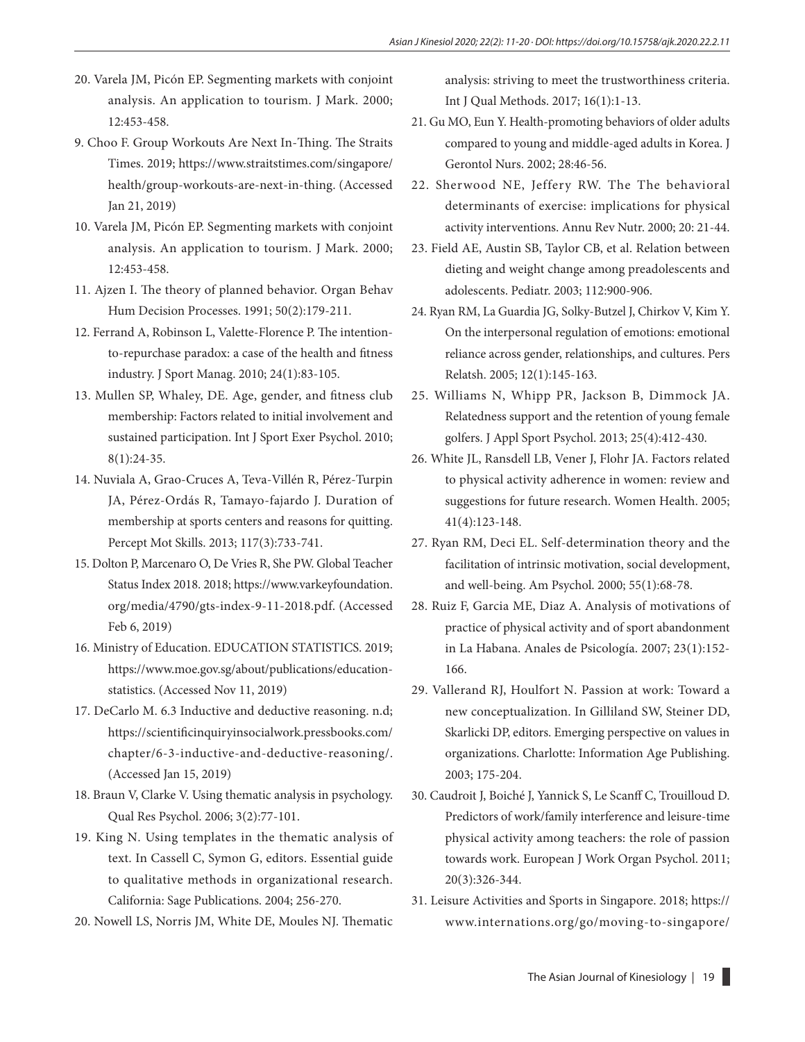- 20. Varela JM, Picón EP. Segmenting markets with conjoint analysis. An application to tourism. J Mark. 2000; 12:453-458.
- 9. Choo F. Group Workouts Are Next In-Thing. The Straits Times. 2019; https://www.straitstimes.com/singapore/ health/group-workouts-are-next-in-thing. (Accessed Jan 21, 2019)
- 10. Varela JM, Picón EP. Segmenting markets with conjoint analysis. An application to tourism. J Mark. 2000; 12:453-458.
- 11. Ajzen I. The theory of planned behavior. Organ Behav Hum Decision Processes. 1991; 50(2):179-211.
- 12. Ferrand A, Robinson L, Valette-Florence P. The intentionto-repurchase paradox: a case of the health and fitness industry. J Sport Manag. 2010; 24(1):83-105.
- 13. Mullen SP, Whaley, DE. Age, gender, and fitness club membership: Factors related to initial involvement and sustained participation. Int J Sport Exer Psychol. 2010; 8(1):24-35.
- 14. Nuviala A, Grao-Cruces A, Teva-Villén R, Pérez-Turpin JA, Pérez-Ordás R, Tamayo-fajardo J. Duration of membership at sports centers and reasons for quitting. Percept Mot Skills. 2013; 117(3):733-741.
- 15. Dolton P, Marcenaro O, De Vries R, She PW. Global Teacher Status Index 2018. 2018; https://www.varkeyfoundation. org/media/4790/gts-index-9-11-2018.pdf. (Accessed Feb 6, 2019)
- 16. Ministry of Education. EDUCATION STATISTICS. 2019; https://www.moe.gov.sg/about/publications/educationstatistics. (Accessed Nov 11, 2019)
- 17. DeCarlo M. 6.3 Inductive and deductive reasoning. n.d; https://scientificinquiryinsocialwork.pressbooks.com/ chapter/6-3-inductive-and-deductive-reasoning/. (Accessed Jan 15, 2019)
- 18. Braun V, Clarke V. Using thematic analysis in psychology. Qual Res Psychol. 2006; 3(2):77-101.
- 19. King N. Using templates in the thematic analysis of text. In Cassell C, Symon G, editors. Essential guide to qualitative methods in organizational research. California: Sage Publications. 2004; 256-270.
- 20. Nowell LS, Norris JM, White DE, Moules NJ. Thematic

analysis: striving to meet the trustworthiness criteria. Int J Qual Methods. 2017; 16(1):1-13.

- 21. Gu MO, Eun Y. Health-promoting behaviors of older adults compared to young and middle-aged adults in Korea. J Gerontol Nurs. 2002; 28:46-56.
- 22. Sherwood NE, Jeffery RW. The The behavioral determinants of exercise: implications for physical activity interventions. Annu Rev Nutr. 2000; 20: 21-44.
- 23. Field AE, Austin SB, Taylor CB, et al. Relation between dieting and weight change among preadolescents and adolescents. Pediatr. 2003; 112:900-906.
- 24. Ryan RM, La Guardia JG, Solky-Butzel J, Chirkov V, Kim Y. On the interpersonal regulation of emotions: emotional reliance across gender, relationships, and cultures. Pers Relatsh. 2005; 12(1):145-163.
- 25. Williams N, Whipp PR, Jackson B, Dimmock JA. Relatedness support and the retention of young female golfers. J Appl Sport Psychol. 2013; 25(4):412-430.
- 26. White JL, Ransdell LB, Vener J, Flohr JA. Factors related to physical activity adherence in women: review and suggestions for future research. Women Health. 2005; 41(4):123-148.
- 27. Ryan RM, Deci EL. Self-determination theory and the facilitation of intrinsic motivation, social development, and well-being. Am Psychol. 2000; 55(1):68-78.
- 28. Ruiz F, Garcia ME, Diaz A. Analysis of motivations of practice of physical activity and of sport abandonment in La Habana. Anales de Psicología. 2007; 23(1):152- 166.
- 29. Vallerand RJ, Houlfort N. Passion at work: Toward a new conceptualization. In Gilliland SW, Steiner DD, Skarlicki DP, editors. Emerging perspective on values in organizations. Charlotte: Information Age Publishing. 2003; 175-204.
- 30. Caudroit J, Boiché J, Yannick S, Le Scanff C, Trouilloud D. Predictors of work/family interference and leisure-time physical activity among teachers: the role of passion towards work. European J Work Organ Psychol. 2011; 20(3):326-344.
- 31. Leisure Activities and Sports in Singapore. 2018; https:// www.internations.org/go/moving-to-singapore/